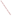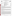|                                                                                                     | <b>UNITED STATE</b><br>ENVIRONME | UNITED STATES ENVIRONMENTAL PROTECTION AGENCY<br>Office of Research and Development<br>Washington, DC 20460<br>ET |
|-----------------------------------------------------------------------------------------------------|----------------------------------|-------------------------------------------------------------------------------------------------------------------|
| AL PROTECT<br><b>ENVIRONMENTAL TECHNOLOGY VERIFICATION PROGRAM</b><br><b>VERIFICATION STATEMENT</b> |                                  |                                                                                                                   |
|                                                                                                     | <b>TECHNOLOGY TYPE:</b>          | <b>SEDIMENT SAMPLER</b>                                                                                           |
|                                                                                                     | <b>APPLICATION:</b>              | <b>CORE SAMPLING OF SEDIMENT</b>                                                                                  |
|                                                                                                     | TECHNOLOGY NAME:                 | ART'S MANUFACTURING & SUPPLY, INC.,<br><b>SPLIT CORE SAMPLER FOR SUBMERGED SEDIMENTS</b>                          |
|                                                                                                     | <b>COMPANY:</b>                  | <b>ART'S MANUFACTURING &amp; SUPPLY, INC.</b>                                                                     |
|                                                                                                     | <b>ADDRESS:</b>                  | <b>105 HARRISON</b><br><b>AMERICAN FALLS, IDAHO 83211</b>                                                         |
|                                                                                                     |                                  |                                                                                                                   |
|                                                                                                     | <b>WEB SITE:</b>                 | http://www.ams-samplers.com                                                                                       |
|                                                                                                     | TELEPHONE:                       | (208) 226-2017                                                                                                    |

## **VERIFICATION PROGRAM DESCRIPTION**

The U.S. Environmental Protection Agency (EPA) created the Superfund Innovative Technology Evaluation (SITE) and Environmental Technology Verification (ETV) Programs to facilitate deployment of innovative technologies through performance verification and information dissemination. The goal of these programs is to further environmental protection by substantially accelerating the acceptance and use of improved and cost-effective technologies. These programs assist and inform those involved in design, distribution, permitting, and purchase of environmental technologies. This document summarizes results of a demonstration of the Split Core Sampler for Submerged Sediments (Split Core Sampler) designed and fabricated by Art's Manufacturing & Supply, Inc.

### **PROGRAM OPERATION**

Under the SITE and ETV Programs, with the full participation of the technology developers, the EPA evaluates and documents the performance of innovative technologies by developing demonstration plans, conducting field tests, collecting and analyzing demonstration data, and preparing reports. The technologies are evaluated under rigorous quality assurance (QA) protocols to produce well-documented data of known quality. The EPA National Exposure Research Laboratory, which demonstrates field sampling, monitoring, and measurement technologies, selected Tetra Tech EM Inc. as the verification organization to assist in field testing two sediment sampling technologies. This demonstration was funded by the SITE Program.

## **DEMONSTRATION DESCRIPTION**

In April and May 1999, the EPA conducted a field demonstration of the Split Core Sampler along with one other sediment sampler. This verification statement focuses on the Split Core Sampler; a similar statement has been prepared for the other sampler. The performance and cost of the Split Core Sampler were compared to those of two conventional samplers (the Hand Corer and Vibrocorer), which were used as reference samplers. To verify a wide range of performance attributes, the Split Core Sampler demonstration had both primary and secondary objectives. Primary objectives for this demonstration included evaluating the sampler's ability to (1) consistently collect a given volume of sediment, (2) consistently collect sediment in a given depth interval, (3) collect samples with consistent characteristics from a homogenous layer of sediment, (4) collect a representative sample from a clean sediment layer below a contaminated sediment layer, and (5) be adequately decontaminated. Additional primary objectives were to measure sampling time and estimate sampling costs. Secondary objectives included (1) documenting the skills and training required for sampler operation, (2) evaluating the sampler's ability to collect samples under a variety of site conditions, (3) assessing the sampler's ability to collect an undisturbed sample, (4) evaluating sampler durability, and (5) documenting the availability of the sampler and its spare parts. To ensure data usability, data quality indicators for precision, accuracy, representativeness, completeness, and comparability were also assessed based on project-specific QA objectives.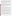The Split Core Sampler was demonstrated at sites in EPA Regions 1 and 5. At the Region 1 site, the sampler was demonstrated in a lake and wetland. At the Region 5 site, the sampler was demonstrated in a river mouth and freshwater bay. Collectively, the two sites provided multiple sampling areas with the different water depths, sediment types, sediment contaminant characteristics, and sediment thicknesses necessary to properly evaluate the sampler. Based on the predemonstration investigation results, demonstration objectives, and site support facilities available, (1) the Hand Corer was used as the reference sampler in the lake, wetland, and freshwater bay and (2) the Vibrocorer was used as the reference sampler in the river mouth. A complete description of the demonstration and a summary of its results are available in the "Innovative Technology Verification Report: Sediment Sampling Technology—Art's Manufacturing & Supply, Inc., Split Core Sampler for Submerged Sediments" (EPA/600/R-01/009).

# **TECHNOLOGY DESCRIPTION**

The Split Core Sampler is an end-filling sampler designed to collect undisturbed core samples of sediment up to a maximum depth of 4 feet below sediment surface (bss). The sampler collects samples from the sediment surface downward, not at discrete depth intervals. Sampler components include one or more split core tubes, couplings for attachment to additional split core tubes, a ball check valve-vented top cap, a coring tip, one or more extension rods, and a cross handle. All these components are made of stainless steel; carbon-steel extension rods are also available from the developer. The sampler may be used with a core tube liner to facilitate removal of an intact sample from the split core tube. To collect a sediment sample, the sampler can be either manually pushed into the sediment using the cross handle or hammered into the sediment using a slide-hammer or an electric hammer. The check valve in the sampler's top cap allows water to exit the sampler during deployment and creates a vacuum to help retain a sediment core during sampler retrieval. The sampler can be retrieved by hand, by reverse hammering using the slide-hammer, or by using a tripod-mounted winch.

# **VERIFICATION OF PERFORMANCE**

Key demonstration findings are summarized below for the primary objectives.

*Consistently Collecting a Given Volume of Sediment*: In the shallow depth interval (0 to 4 inches bss), to collect a specified number of samples, the Split Core Sampler required 7 percent more attempts than expected (46 actual versus 43 expected), whereas the reference samplers required 14 percent more attempts than expected (49 actual versus 43 expected). In the moderate depth interval (4 to 32 inches bss), the Split Core Sampler required 38 percent more attempts than expected (40 actual versus 29 expected), but the reference samplers required 156 percent more attempts than expected (64 actual versus 25 expected).

For the shallow depth interval, mean sample recoveries ranging from 89 to 100 percent were achieved by the Split Core Sampler, whereas mean sample recoveries for the reference samplers ranged from 85 to 100 percent. The variation in sample recoveries as measured by their relative standard deviations (RSD) ranged from 0 to 26 percent for the Split Core Sampler, whereas the reference samplers' RSDs ranged from 0 to 33 percent. For the moderate depth interval, mean sample recoveries ranging from 37 to 100 percent were achieved by the Split Core Sampler, whereas the reference samplers' mean sample recoveries ranged from 21 to 82 percent. The RSDs for the Split Core Sampler ranged from 0 to 51 percent, whereas the reference samplers' RSDs ranged from 3 to 161 percent.

*Consistently Collecting Sediment in a Given Depth Interval:* Both the Split Core Sampler and reference samplers collected samples in shallow and moderate depth intervals in all demonstration areas, which contained various sediment types. No sampler was able to collect samples in the deep depth interval (4 to 11 feet bss). For the shallow depth interval, the Split Core Sampler's actual core lengths equaled the target core length in 96 percent of the total sampling attempts. The reference samplers' actual core lengths equaled the target core length in 94 percent of the total sampling attempts. For the moderate depth interval, the Split Core Sampler's actual core lengths equaled the target core length in 39 percent of the total sampling attempts. The reference samplers' actual core lengths equaled the target core length in 13 percent of the total sampling attempts.

*Collecting Samples with Consistent Characteristics from a Homogenous Layer of Sediment*: Based on particle size distribution results, both the Split Core Sampler and reference samplers collected samples with consistent physical characteristics from two homogenous layers of sediment (a sandy silt layer and a clayey silt layer).

*Collecting a Representative Sample from a Clean Sediment Layer Below a Contaminated Sediment Layer:* In sampling a clean sediment layer below a contaminated sediment layer, the Split Core Sampler and reference sampler (the Hand Corer) collected samples whose contaminant concentrations were statistically different at a significance level of 0.05. Arsenic concentrations in the samples collected by the Split Core Sampler were less than those in the samples collected by the Hand Corer. However, because of the greater opportunity for sample compaction in the Split Core Sampler, no conclusion could be drawn regarding this sampler's ability to collect representative samples from a clean layer below a contaminated layer.